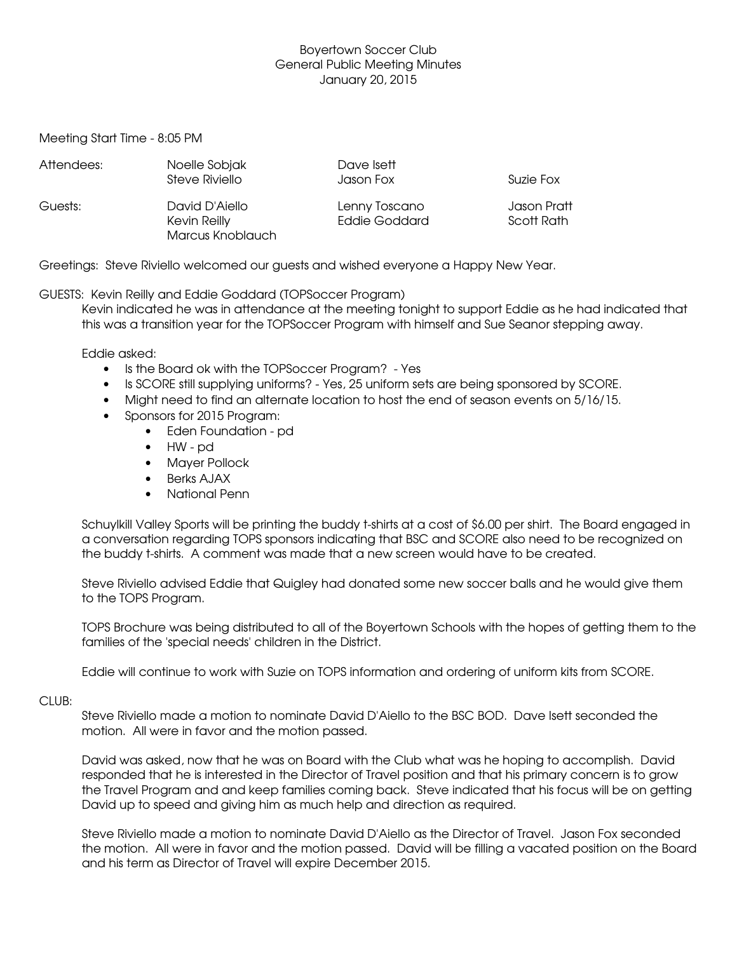## Boyertown Soccer Club General Public Meeting Minutes January 20, 2015

Meeting Start Time - 8:05 PM

| Attendees: | Noelle Sobjak<br>Steve Riviello                    | Dave Isett<br>Jason Fox               | Suzie Fox                 |
|------------|----------------------------------------------------|---------------------------------------|---------------------------|
| Guests:    | David D'Aiello<br>Kevin Reilly<br>Marcus Knoblauch | Lenny Toscano<br><b>Eddie Goddard</b> | Jason Pratt<br>Scott Rath |

Greetings: Steve Riviello welcomed our guests and wished everyone a Happy New Year.

# GUESTS: Kevin Reilly and Eddie Goddard (TOPSoccer Program)

Kevin indicated he was in attendance at the meeting tonight to support Eddie as he had indicated that this was a transition year for the TOPSoccer Program with himself and Sue Seanor stepping away.

Eddie asked:

- Is the Board ok with the TOPSoccer Program? Yes
- Is SCORE still supplying uniforms? Yes, 25 uniform sets are being sponsored by SCORE.
- Might need to find an alternate location to host the end of season events on 5/16/15.
- Sponsors for 2015 Program:
	- Eden Foundation pd
	- $\bullet$  HW pd
	- Mayer Pollock
	- Berks AJAX
	- National Penn

Schuylkill Valley Sports will be printing the buddy t-shirts at a cost of \$6.00 per shirt. The Board engaged in a conversation regarding TOPS sponsors indicating that BSC and SCORE also need to be recognized on the buddy t-shirts. A comment was made that a new screen would have to be created.

Steve Riviello advised Eddie that Quigley had donated some new soccer balls and he would give them to the TOPS Program.

TOPS Brochure was being distributed to all of the Boyertown Schools with the hopes of getting them to the families of the 'special needs' children in the District.

Eddie will continue to work with Suzie on TOPS information and ordering of uniform kits from SCORE.

### CLUB:

Steve Riviello made a motion to nominate David D'Aiello to the BSC BOD. Dave Isett seconded the motion. All were in favor and the motion passed.

David was asked, now that he was on Board with the Club what was he hoping to accomplish. David responded that he is interested in the Director of Travel position and that his primary concern is to grow the Travel Program and and keep families coming back. Steve indicated that his focus will be on getting David up to speed and giving him as much help and direction as required.

Steve Riviello made a motion to nominate David D'Aiello as the Director of Travel. Jason Fox seconded the motion. All were in favor and the motion passed. David will be filling a vacated position on the Board and his term as Director of Travel will expire December 2015.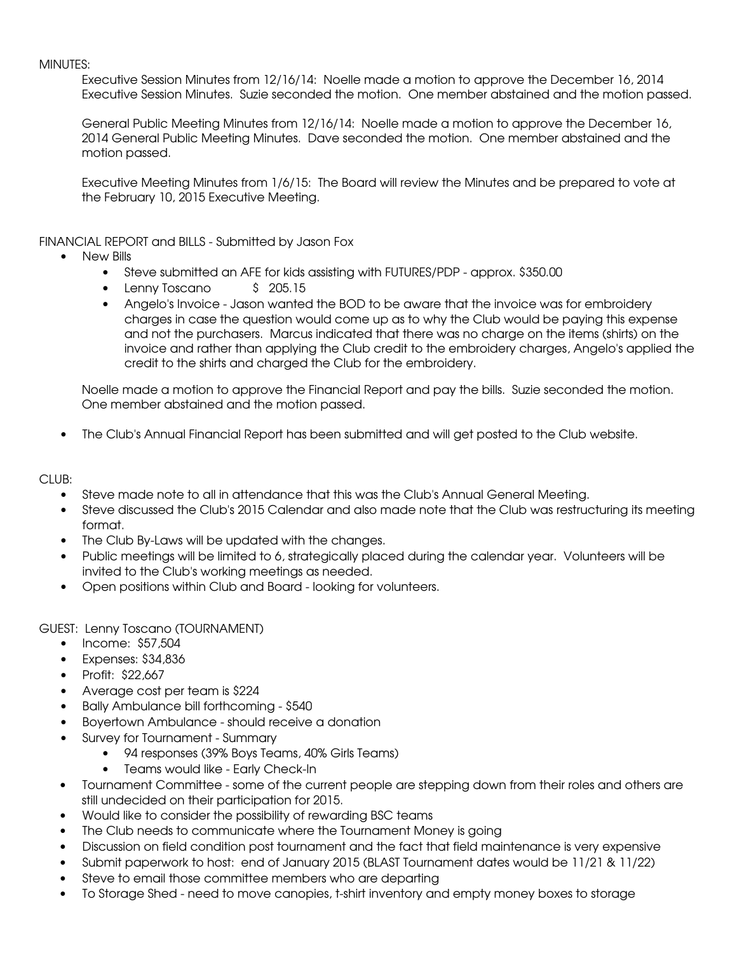#### MINUTES:

Executive Session Minutes from 12/16/14: Noelle made a motion to approve the December 16, 2014 Executive Session Minutes. Suzie seconded the motion. One member abstained and the motion passed.

General Public Meeting Minutes from 12/16/14: Noelle made a motion to approve the December 16, 2014 General Public Meeting Minutes. Dave seconded the motion. One member abstained and the motion passed.

Executive Meeting Minutes from 1/6/15: The Board will review the Minutes and be prepared to vote at the February 10, 2015 Executive Meeting.

FINANCIAL REPORT and BILLS - Submitted by Jason Fox

- New Bills
	- Steve submitted an AFE for kids assisting with FUTURES/PDP approx. \$350.00
	- Lenny Toscano \$ 205.15
	- Angelo's Invoice Jason wanted the BOD to be aware that the invoice was for embroidery charges in case the question would come up as to why the Club would be paying this expense and not the purchasers. Marcus indicated that there was no charge on the items (shirts) on the invoice and rather than applying the Club credit to the embroidery charges, Angelo's applied the credit to the shirts and charged the Club for the embroidery.

Noelle made a motion to approve the Financial Report and pay the bills. Suzie seconded the motion. One member abstained and the motion passed.

The Club's Annual Financial Report has been submitted and will get posted to the Club website.

### $CIUB:$

- Steve made note to all in attendance that this was the Club's Annual General Meeting.
- Steve discussed the Club's 2015 Calendar and also made note that the Club was restructuring its meeting format.
- The Club By-Laws will be updated with the changes.
- Public meetings will be limited to 6, strategically placed during the calendar year. Volunteers will be invited to the Club's working meetings as needed.
- Open positions within Club and Board looking for volunteers.

GUEST: Lenny Toscano (TOURNAMENT)

- $\bullet$  Income: \$57,504
- **Expenses: \$34,836**
- Profit: \$22,667
- Average cost per team is \$224
- Bally Ambulance bill forthcoming \$540
- Boyertown Ambulance should receive a donation
- Survey for Tournament Summary
	- 94 responses (39% Boys Teams, 40% Girls Teams)
	- Teams would like Early Check-In
- Tournament Committee some of the current people are stepping down from their roles and others are still undecided on their participation for 2015.
- Would like to consider the possibility of rewarding BSC teams
- The Club needs to communicate where the Tournament Money is going
- Discussion on field condition post tournament and the fact that field maintenance is very expensive
- Submit paperwork to host: end of January 2015 (BLAST Tournament dates would be 11/21 & 11/22)
- Steve to email those committee members who are departing
- To Storage Shed need to move canopies, t-shirt inventory and empty money boxes to storage